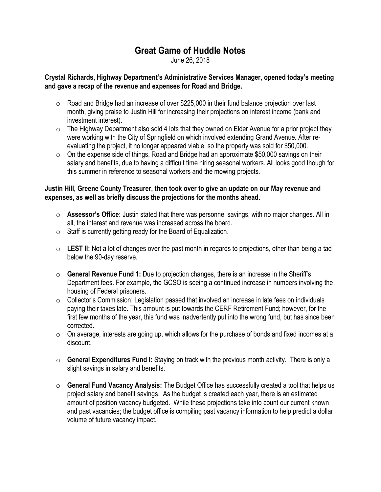## Great Game of Huddle Notes

June 26, 2018

## Crystal Richards, Highway Department's Administrative Services Manager, opened today's meeting and gave a recap of the revenue and expenses for Road and Bridge.

- $\circ$  Road and Bridge had an increase of over \$225,000 in their fund balance projection over last month, giving praise to Justin Hill for increasing their projections on interest income (bank and investment interest).
- $\circ$  The Highway Department also sold 4 lots that they owned on Elder Avenue for a prior project they were working with the City of Springfield on which involved extending Grand Avenue. After reevaluating the project, it no longer appeared viable, so the property was sold for \$50,000.
- $\circ$  On the expense side of things, Road and Bridge had an approximate \$50,000 savings on their salary and benefits, due to having a difficult time hiring seasonal workers. All looks good though for this summer in reference to seasonal workers and the mowing projects.

## Justin Hill, Greene County Treasurer, then took over to give an update on our May revenue and expenses, as well as briefly discuss the projections for the months ahead.

- $\circ$  **Assessor's Office:** Justin stated that there was personnel savings, with no major changes. All in all, the interest and revenue was increased across the board.
- $\circ$  Staff is currently getting ready for the Board of Equalization.
- $\circ$  LEST II: Not a lot of changes over the past month in regards to projections, other than being a tad below the 90-day reserve.
- $\circ$  General Revenue Fund 1: Due to projection changes, there is an increase in the Sheriff's Department fees. For example, the GCSO is seeing a continued increase in numbers involving the housing of Federal prisoners.
- $\circ$  Collector's Commission: Legislation passed that involved an increase in late fees on individuals paying their taxes late. This amount is put towards the CERF Retirement Fund; however, for the first few months of the year, this fund was inadvertently put into the wrong fund, but has since been corrected.
- $\circ$  On average, interests are going up, which allows for the purchase of bonds and fixed incomes at a discount.
- $\circ$  General Expenditures Fund I: Staying on track with the previous month activity. There is only a slight savings in salary and benefits.
- $\circ$  General Fund Vacancy Analysis: The Budget Office has successfully created a tool that helps us project salary and benefit savings. As the budget is created each year, there is an estimated amount of position vacancy budgeted. While these projections take into count our current known and past vacancies; the budget office is compiling past vacancy information to help predict a dollar volume of future vacancy impact.